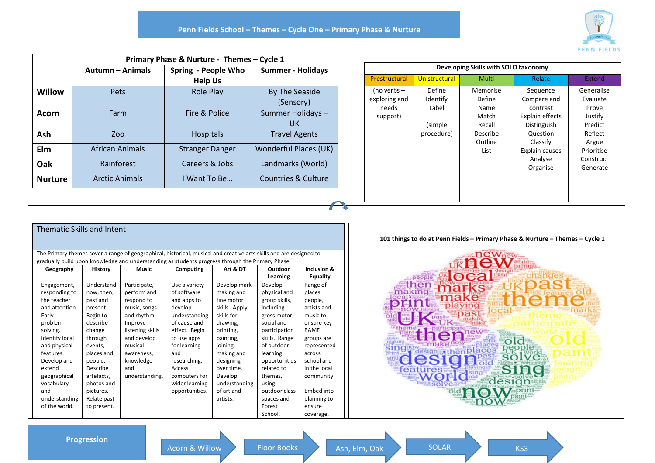

| Willow<br><b>Acorn</b><br>Ash<br>Elm<br>Oak | Autumn - Animals<br>Pets<br>Farm | Spring - People Who<br><b>Help Us</b><br><b>Role Play</b><br>Fire & Police | <b>Summer - Holidays</b><br><b>By The Seaside</b><br>(Sensory)<br>Summer Holidays-<br>UK. |
|---------------------------------------------|----------------------------------|----------------------------------------------------------------------------|-------------------------------------------------------------------------------------------|
|                                             |                                  |                                                                            |                                                                                           |
|                                             |                                  |                                                                            |                                                                                           |
|                                             |                                  |                                                                            |                                                                                           |
|                                             | Zoo                              | Hospitals                                                                  | <b>Travel Agents</b>                                                                      |
|                                             | <b>African Animals</b>           | <b>Stranger Danger</b>                                                     | Wonderful Places (UK)                                                                     |
|                                             | Rainforest                       | Careers & Jobs                                                             | Landmarks (World)                                                                         |
| <b>Nurture</b>                              | <b>Arctic Animals</b>            | I Want To Be                                                               | Countries & Culture                                                                       |
|                                             |                                  |                                                                            |                                                                                           |

| Developing Skills with SOLO taxonomy |               |          |                 |            |  |  |  |
|--------------------------------------|---------------|----------|-----------------|------------|--|--|--|
| Prestructural                        | Unistructural | Multi    | Relate          | Extend     |  |  |  |
| (no verbs –                          | Define        | Memorise | Sequence        | Generalise |  |  |  |
| exploring and                        | Identify      | Define   | Compare and     | Evaluate   |  |  |  |
| needs                                | Label         | Name     | contrast        | Prove      |  |  |  |
| support)                             |               | Match    | Explain effects | Justify    |  |  |  |
|                                      | (simple)      | Recall   | Distinguish     | Predict    |  |  |  |
|                                      | procedure)    | Describe | Question        | Reflect    |  |  |  |
|                                      |               | Outline  | Classify        | Argue      |  |  |  |
|                                      |               | List     | Explain causes  | Prioritise |  |  |  |
|                                      |               |          | Analyse         | Construct  |  |  |  |
|                                      |               |          | Organise        | Generate   |  |  |  |
|                                      |               |          |                 |            |  |  |  |
|                                      |               |          |                 |            |  |  |  |
|                                      |               |          |                 |            |  |  |  |
|                                      |               |          |                 |            |  |  |  |

| Thematic Skills and Intent                                                                                         |                |                  |                |               |                   |              |                                                                              |                                                |
|--------------------------------------------------------------------------------------------------------------------|----------------|------------------|----------------|---------------|-------------------|--------------|------------------------------------------------------------------------------|------------------------------------------------|
|                                                                                                                    |                |                  |                |               |                   |              | 101 things to do at Penn Fields - Primary Phase & Nurture - Themes - Cycle 1 |                                                |
| The Primary themes cover a range of geographical, historical, musical and creative arts skills and are designed to |                |                  |                |               | $m$ ake $new$ new |              |                                                                              |                                                |
| gradually build upon knowledge and understanding as students progress through the Primary Phase                    |                |                  |                | <b>KACWEE</b> |                   |              |                                                                              |                                                |
| Geography                                                                                                          | <b>History</b> | <b>Music</b>     | Computing      | Art & DT      | Outdoor           | Inclusion &  |                                                                              |                                                |
|                                                                                                                    |                |                  |                |               | Learning          | Equality     |                                                                              |                                                |
| Engagement,                                                                                                        | Understand     | Participate,     | Use a variety  | Develop mark  | Develop           | Range of     |                                                                              | <b>Nocal</b><br>then                           |
| responding to                                                                                                      | now, then,     | perform and      | of software    | making and    | physical and      | places,      |                                                                              | -making-                                       |
| the teacher                                                                                                        | past and       | respond to       | and apps to    | fine motor    | group skills,     | people,      |                                                                              | make<br><b>enne</b>                            |
| and attention.                                                                                                     | present.       | music, songs     | develop        | skills. Apply | including         | artists and  |                                                                              | playing<br>simum OW Isier                      |
| Early                                                                                                              | Begin to       | and rhythm.      | understanding  | skills for    | gross motor,      | music to     |                                                                              | <b>past</b>                                    |
| problem-                                                                                                           | describe       | Improve          | of cause and   | drawing,      | social and        | ensure key   |                                                                              |                                                |
| solving.                                                                                                           | change         | listening skills | effect. Begin  | printing,     | participation     | <b>BAME</b>  |                                                                              |                                                |
| <b>Identify local</b>                                                                                              | through        | and develop      | to use apps    | painting,     | skills. Range     | groups are   |                                                                              | makino                                         |
| and physical                                                                                                       | events,        | musical          | for learning   | joining,      | of outdoor        | represented  |                                                                              | places<br><b>singnow</b><br>design then places |
| features.                                                                                                          | places and     | awareness,       | and            | making and    | learning          | across       |                                                                              | print then                                     |
| Develop and                                                                                                        | people.        | knowledge        | researching.   | designing     | opportunities     | school and   |                                                                              | <b>Föld</b>                                    |
| extend                                                                                                             | Describe       | and              | Access         | over time.    | related to        | in the local |                                                                              | <b>reatures</b>                                |
| geographical                                                                                                       | artefacts,     | understanding.   | computers for  | Develop       | themes,           | community.   |                                                                              | design                                         |
| vocabulary                                                                                                         | photos and     |                  | wider learning | understanding | using             |              |                                                                              |                                                |
| and                                                                                                                | pictures.      |                  | opportunities. | of art and    | outdoor class     | Embed into   |                                                                              |                                                |
| understanding                                                                                                      | Relate past    |                  |                | artists.      | spaces and        | planning to  |                                                                              |                                                |
| of the world.                                                                                                      | to present.    |                  |                |               | Forest            | ensure       |                                                                              |                                                |
|                                                                                                                    |                |                  |                |               | School.           | coverage.    |                                                                              |                                                |

**Progression**

Acorn & Willow Floor Books Ash, Elm, Oak SOLAR KS3